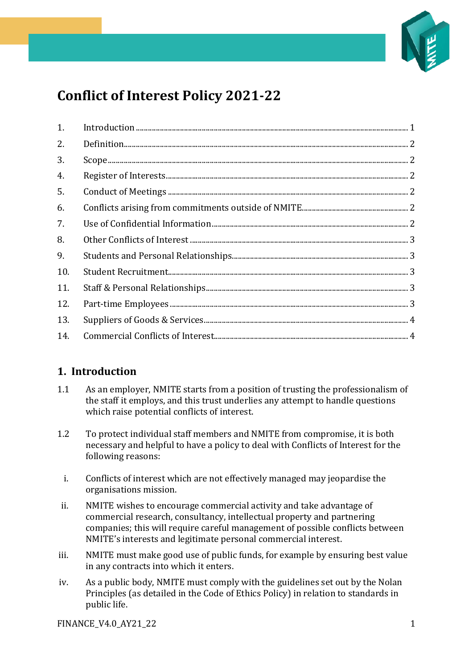

# **Conflict of Interest Policy 2021-22**

| 1 <sub>1</sub> |  |
|----------------|--|
| 2.             |  |
| 3.             |  |
| 4.             |  |
| 5.             |  |
| 6.             |  |
| 7.             |  |
| 8.             |  |
| 9.             |  |
| 10.            |  |
| 11.            |  |
| 12.            |  |
| 13.            |  |
| 14.            |  |

# <span id="page-0-0"></span>**1. Introduction**

- 1.1 As an employer, NMITE starts from a position of trusting the professionalism of the staff it employs, and this trust underlies any attempt to handle questions which raise potential conflicts of interest.
- 1.2 To protect individual staff members and NMITE from compromise, it is both necessary and helpful to have a policy to deal with Conflicts of Interest for the following reasons:
	- i. Conflicts of interest which are not effectively managed may jeopardise the organisations mission.
- ii. NMITE wishes to encourage commercial activity and take advantage of commercial research, consultancy, intellectual property and partnering companies; this will require careful management of possible conflicts between NMITE's interests and legitimate personal commercial interest.
- iii. NMITE must make good use of public funds, for example by ensuring best value in any contracts into which it enters.
- iv. As a public body, NMITE must comply with the guidelines set out by the Nolan Principles (as detailed in the Code of Ethics Policy) in relation to standards in public life.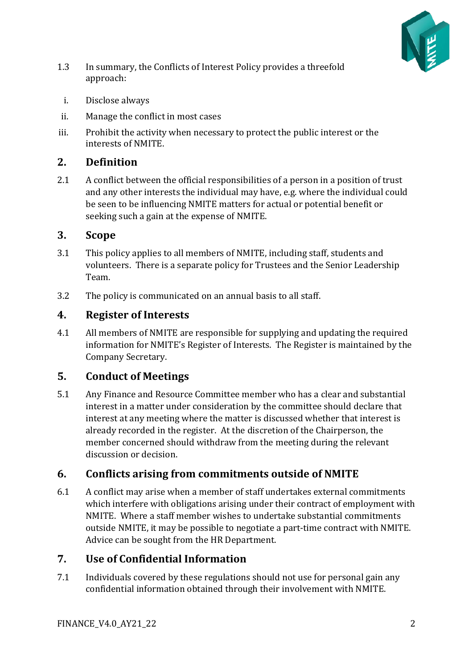

- 1.3 In summary, the Conflicts of Interest Policy provides a threefold approach:
	- i. Disclose always
- ii. Manage the conflict in most cases
- iii. Prohibit the activity when necessary to protect the public interest or the interests of NMITE.

# <span id="page-1-0"></span>**2. Definition**

2.1 A conflict between the official responsibilities of a person in a position of trust and any other interests the individual may have, e.g. where the individual could be seen to be influencing NMITE matters for actual or potential benefit or seeking such a gain at the expense of NMITE.

#### <span id="page-1-1"></span>**3. Scope**

- 3.1 This policy applies to all members of NMITE, including staff, students and volunteers. There is a separate policy for Trustees and the Senior Leadership Team.
- 3.2 The policy is communicated on an annual basis to all staff.

# <span id="page-1-2"></span>**4. Register of Interests**

4.1 All members of NMITE are responsible for supplying and updating the required information for NMITE's Register of Interests. The Register is maintained by the Company Secretary.

# <span id="page-1-3"></span>**5. Conduct of Meetings**

5.1 Any Finance and Resource Committee member who has a clear and substantial interest in a matter under consideration by the committee should declare that interest at any meeting where the matter is discussed whether that interest is already recorded in the register. At the discretion of the Chairperson, the member concerned should withdraw from the meeting during the relevant discussion or decision.

# <span id="page-1-4"></span>**6. Conflicts arising from commitments outside of NMITE**

6.1 A conflict may arise when a member of staff undertakes external commitments which interfere with obligations arising under their contract of employment with NMITE. Where a staff member wishes to undertake substantial commitments outside NMITE, it may be possible to negotiate a part-time contract with NMITE. Advice can be sought from the HR Department.

# <span id="page-1-5"></span>**7. Use of Confidential Information**

7.1 Individuals covered by these regulations should not use for personal gain any confidential information obtained through their involvement with NMITE.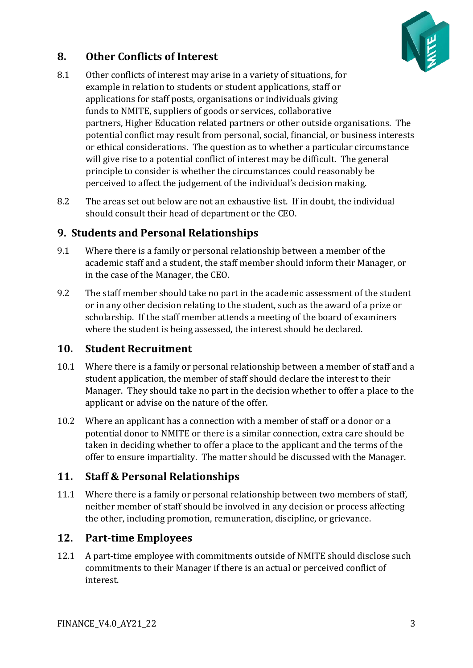

# <span id="page-2-0"></span>**8. Other Conflicts of Interest**

- 8.1 Other conflicts of interest may arise in a variety of situations, for example in relation to students or student applications, staff or applications for staff posts, organisations or individuals giving funds to NMITE, suppliers of goods or services, collaborative partners, Higher Education related partners or other outside organisations. The potential conflict may result from personal, social, financial, or business interests or ethical considerations. The question as to whether a particular circumstance will give rise to a potential conflict of interest may be difficult. The general principle to consider is whether the circumstances could reasonably be perceived to affect the judgement of the individual's decision making.
- 8.2 The areas set out below are not an exhaustive list. If in doubt, the individual should consult their head of department or the CEO.

#### <span id="page-2-1"></span>**9. Students and Personal Relationships**

- 9.1 Where there is a family or personal relationship between a member of the academic staff and a student, the staff member should inform their Manager, or in the case of the Manager, the CEO.
- 9.2 The staff member should take no part in the academic assessment of the student or in any other decision relating to the student, such as the award of a prize or scholarship. If the staff member attends a meeting of the board of examiners where the student is being assessed, the interest should be declared.

#### <span id="page-2-2"></span>**10. Student Recruitment**

- 10.1 Where there is a family or personal relationship between a member of staff and a student application, the member of staff should declare the interest to their Manager. They should take no part in the decision whether to offer a place to the applicant or advise on the nature of the offer.
- 10.2 Where an applicant has a connection with a member of staff or a donor or a potential donor to NMITE or there is a similar connection, extra care should be taken in deciding whether to offer a place to the applicant and the terms of the offer to ensure impartiality. The matter should be discussed with the Manager.

# <span id="page-2-3"></span>**11. Staff & Personal Relationships**

11.1 Where there is a family or personal relationship between two members of staff, neither member of staff should be involved in any decision or process affecting the other, including promotion, remuneration, discipline, or grievance.

#### <span id="page-2-4"></span>**12. Part-time Employees**

12.1 A part-time employee with commitments outside of NMITE should disclose such commitments to their Manager if there is an actual or perceived conflict of interest.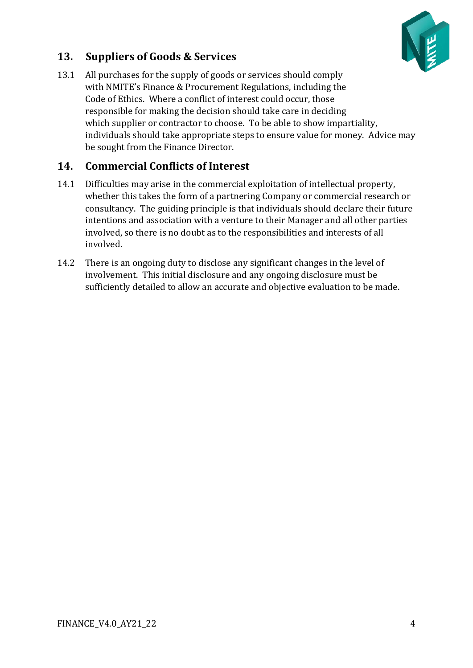

# <span id="page-3-0"></span>**13. Suppliers of Goods & Services**

13.1 All purchases for the supply of goods or services should comply with NMITE's Finance & Procurement Regulations, including the Code of Ethics. Where a conflict of interest could occur, those responsible for making the decision should take care in deciding which supplier or contractor to choose. To be able to show impartiality, individuals should take appropriate steps to ensure value for money. Advice may be sought from the Finance Director.

# <span id="page-3-1"></span>**14. Commercial Conflicts of Interest**

- 14.1 Difficulties may arise in the commercial exploitation of intellectual property, whether this takes the form of a partnering Company or commercial research or consultancy. The guiding principle is that individuals should declare their future intentions and association with a venture to their Manager and all other parties involved, so there is no doubt as to the responsibilities and interests of all involved.
- 14.2 There is an ongoing duty to disclose any significant changes in the level of involvement. This initial disclosure and any ongoing disclosure must be sufficiently detailed to allow an accurate and objective evaluation to be made.